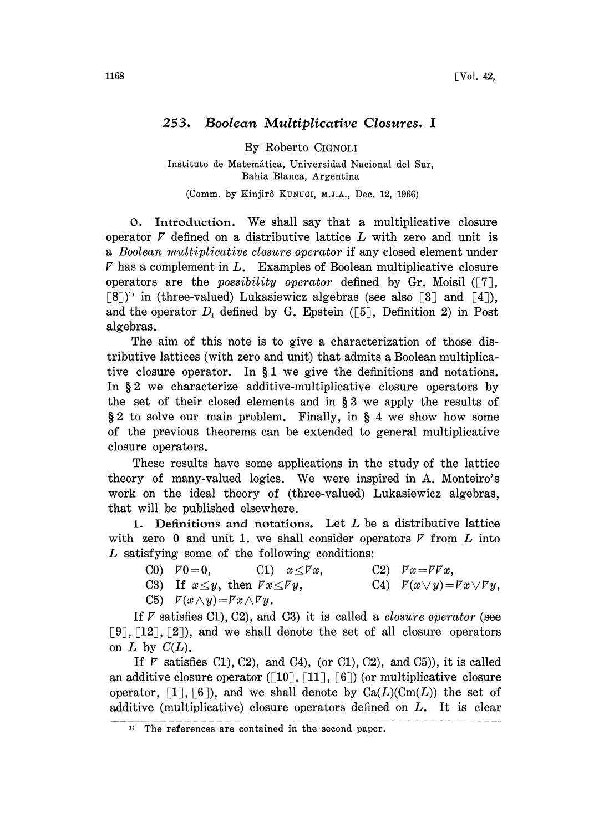## 253. Boolean Multiplicative Closures.

By Roberto CIGNOLI

Instituto de Matemática, Universidad Nacional del Sur, Bahia Blanca, Argentina

(Comm. by Kinjirô Kunugi, M.J.A., Dec. 12, 1966)

O. Introduction. We shall say that <sup>a</sup> multiplicative closure operator  $\bar{V}$  defined on a distributive lattice  $\bar{L}$  with zero and unit is a Boolean mutiplicative closure operator if any closed element under  $\nabla$  has a complement in  $L$ . Examples of Boolean multiplicative closure operators are the *possibility operator* defined by Gr. Moisil  $(T)$ ,  $[8]$ <sup>1</sup>) in (three-valued) Lukasiewicz algebras (see also  $[3]$  and  $[4]$ ), and the operator  $D_1$  defined by G. Epstein ([5], Definition 2) in Post algebras.

The aim of this note is to give a characterization of those distributive lattices (with zero and unit) that admits a Boolean multiplicative closure operator. In  $\S1$  we give the definitions and notations. In  $\S 2$  we characterize additive-multiplicative closure operators by the set of their closed elements and in 3 we apply the results of § 2 to solve our main problem. Finally, in § 4 we show how some of the previous theorems can be extended to general multiplicative closure operators.

These results have some applications in the study of the lattice theory of many-valued logics. We were inspired in A. Monteiro's work on the ideal theory of (three-valued) Lukasiewicz algebras, that will be published elsewhere.

1. Definitions and notations. Let  $L$  be a distributive lattice with zero 0 and unit 1, we shall consider operators  $\nabla$  from  $L$  into  $L$  satisfying some of the following conditions:

CO)  $\overline{V}0=0$ , C1)  $x \leq \overline{V}x$ , C2)  $\overline{V}x=\overline{V}Vx$ ,

C3) If 
$$
x \leq y
$$
, then  $\nabla x \leq \nabla y$ , C4)  $\nabla (x \vee y) = \nabla x \vee \nabla y$ ,

C5)  $\mathcal{F}(x \wedge y) = \mathcal{F}x \wedge \mathcal{F}y$ .

If  $\nabla$  satisfies C1), C2), and C3) it is called a *closure operator* (see  $[9], [12], [2]$ , and we shall denote the set of all closure operators on  $L$  by  $C(L)$ .

If  $\nabla$  satisfies C1), C2), and C4), (or C1), C2), and C5)), it is called an additive closure operator ([10], [11], [6]) (or multiplicative closure operator,  $[1], [6]$ , and we shall denote by  $Ca(L)(Cm(L))$  the set of additive (multiplicative) closure operators defined on L. It is clear

 $1)$  The references are contained in the second paper.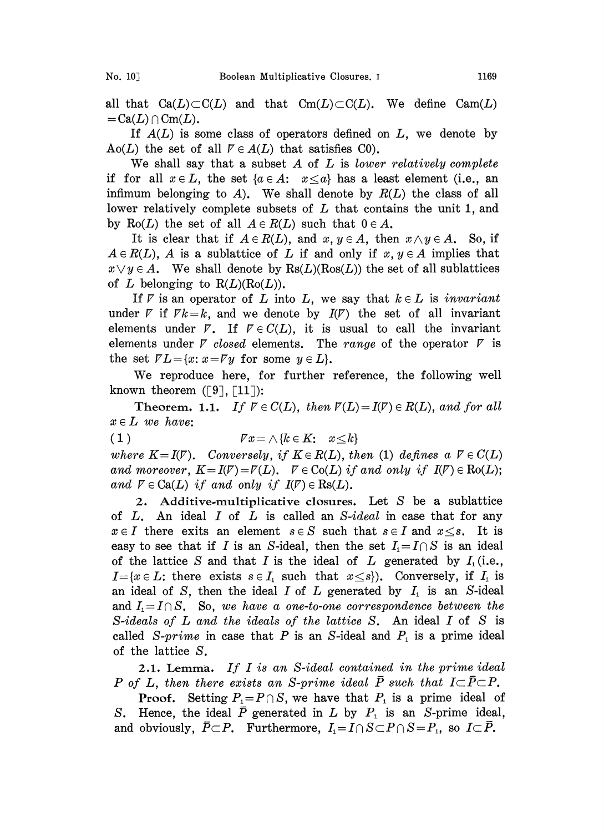all that  $Ca(L) \subset C(L)$  and that  $Cm(L) \subset C(L)$ . We define  $Cam(L)$  $=\text{Ca}(L) \cap \text{Cm}(L)$ .

If  $A(L)$  is some class of operators defined on  $L$ , we denote by Ao(L) the set of all  $V \in A(L)$  that satisfies C0).

We shall say that a subset  $A$  of  $L$  is *lower relatively complete* if for all  $x \in L$ , the set  $\{a \in A: x \leq a\}$  has a least element (i.e., an infimum belonging to A). We shall denote by  $R(L)$  the class of all lower relatively complete subsets of L that contains the unit 1, and by Ro(L) the set of all  $A \in R(L)$  such that  $0 \in A$ .

It is clear that if  $A \in R(L)$ , and  $x, y \in A$ , then  $x \wedge y \in A$ . So, if  $A \in R(L)$ , A is a sublattice of L if and only if  $x, y \in A$  implies that  $x \vee y \in A$ . We shall denote by  $\text{Rs}(L)(\text{Ros}(L))$  the set of all sublattices of L belonging to  $R(L)(Ro(L))$ .

If  $\nabla$  is an operator of L into L, we say that  $k \in L$  is *invariant* under  $\nabla$  if  $Fk=k$ , and we denote by  $I(\nabla)$  the set of all invariant elements under  $\bar{V}$ . If  $\bar{V} \in C(L)$ , it is usual to call the invariant elements under  $\nabla$  closed elements. The range of the operator  $\nabla$  is the set  $\overline{V}L = \{x: x = \overline{V}y \text{ for some } y \in L\}.$ 

We reproduce here, for further reference, the following well known theorem  $(59, 11)$ :

Theorem. 1.1. If  $V \in C(L)$ , then  $V(L) = I(V) \in R(L)$ , and for all  $x \in L$  we have:

(1)  $\qquad \qquad \mathbb{V} x = \wedge \{k \in K: x \leq k\}$ 

where  $K=I(V)$ . Conversely, if  $K \in R(L)$ , then (1) defines a  $V \in C(L)$ and moreover,  $K = I(V) = \overline{V}(L)$ .  $V \in \text{Co}(L)$  if and only if  $I(V) \in \text{Ro}(L)$ ; and  $V \in Ca(L)$  if and only if  $I(V) \in \text{Rs}(L)$ .

2. Additive.multiplicative closures. Let S be a sublattice of  $L$ . An ideal  $I$  of  $L$  is called an  $S$ -ideal in case that for any  $x \in I$  there exits an element  $s \in S$  such that  $s \in I$  and  $x \leq s$ . It is easy to see that if I is an S-ideal, then the set  $I_i = I \cap S$  is an ideal of the lattice S and that I is the ideal of L generated by  $I_1$  (i.e.,  $I=\{x\in L: \text{ there exists } s\in I_1 \text{ such that } x\leq s\}.$  Conversely, if  $I_1$  is an ideal of S, then the ideal I of L generated by  $I_1$  is an S-ideal and  $I_1=I\cap S$ . So, we have a one-to-one correspondence between the S-ideals of  $L$  and the ideals of the lattice  $S$ . An ideal  $I$  of  $S$  is called S-prime in case that P is an S-ideal and  $P_1$  is a prime ideal of the lattice S.

2.1. Lemma. If I is an S-ideal contained in the prime ideal P of L, then there exists an S-prime ideal  $\bar{P}$  such that  $I \subset \bar{P} \subset P$ .

**Proof.** Setting  $P_1 = P \cap S$ , we have that  $P_1$  is a prime ideal of S. Hence, the ideal  $\bar{P}$  generated in  $L$  by  $P_1$  is an S-prime ideal, and obviously,  $\overline{P} \subset P$ . Furthermore,  $I_1 = I \cap S \subset P \cap S = P_1$ , so  $I \subset \overline{P}$ .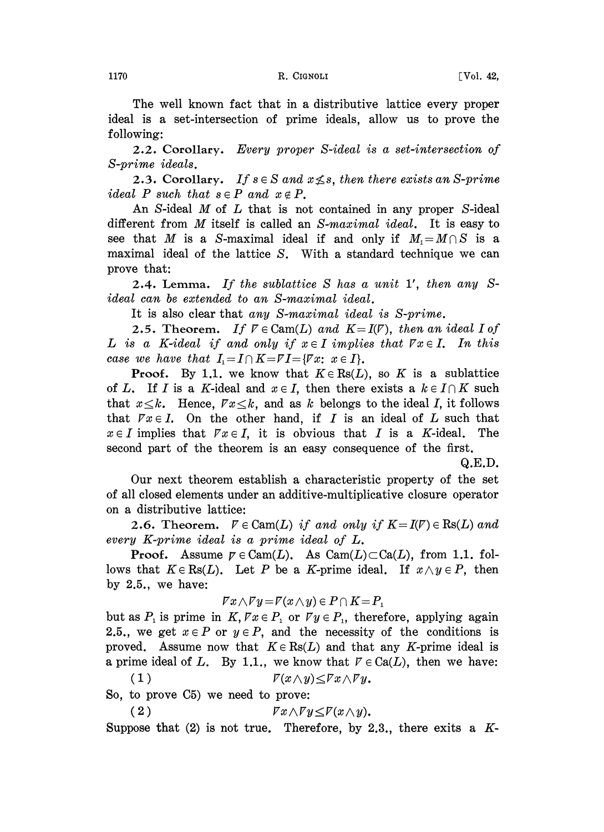The well known fact that in a distributive lattice every proper ideal is a set-intersection of prime ideals, allow us to prove the following:

2.2. Corollary. Every proper S-ideal is a set-intersection of S-prime ideals.

2.3. Corollary. If  $s \in S$  and  $x \nleq s$ , then there exists an S-prime ideal P such that  $s \in P$  and  $x \notin P$ .

An S-ideal M of L that is not contained in any proper S-ideal different from M itself is called an S-maximal ideal. It is easy to see that M is a S-maximal ideal if and only if  $M_1=M\cap S$  is a maximal ideal of the lattice S. With a standard technique we can prove that:

2.4. Lemma. If the sublattice S has a unit 1', then any Sideal can bs extended to an S-maximal ideal.

It is also clear that any S-maximal ideal is S-prime.

**2.5. Theorem.** If  $V \in \text{Cam}(L)$  and  $K = I(V)$ , then an ideal I of L is a K-ideal if and only if  $x \in I$  implies that  $\forall x \in I$ . In this case we have that  $I_1=I\cap K=VI=\{\forall x;\ x\in I\}.$ 

**Proof.** By 1.1, we know that  $K \in \text{Rs}(L)$ , so K is a sublattice of L. If I is a K-ideal and  $x \in I$ , then there exists a  $k \in I \cap K$  such that  $x \leq k$ . Hence,  $\overline{r}x \leq k$ , and as k belongs to the ideal I, it follows that  $\forall x \in I$ . On the other hand, if I is an ideal of L such that  $x \in I$  implies that  $\overline{Y}x \in I$ , it is obvious that I is a K-ideal. The second part of the theorem is an easy consequence of the first.

Q.E.D.

Our next theorem establish a characteristic property of the set of all closed elements under an additive-multiplicative closure operator on a distributive lattice:

**2.6.** Theorem.  $V \in \text{Cam}(L)$  if and only if  $K = I(V) \in \text{Rs}(L)$  and every K-prime ideal is a prime ideal of L.

**Proof.** Assume  $p \in \text{Cam}(L)$ . As  $\text{Cam}(L) \subset \text{Ca}(L)$ , from 1.1. follows that  $K \in \text{Rs}(L)$ . Let P be a K-prime ideal. If  $x \wedge y \in P$ , then by 2.5., we have:

$$
\mathcal{F}x\wedge\mathcal{F}y\!=\!\mathcal{F}(x\wedge y)\in P\cap K\!=\!P_1
$$

but as  $P_i$  is prime in  $K, \nabla x \in P_i$  or  $\nabla y \in P_i$ , therefore, applying again 2.5., we get  $x \in P$  or  $y \in P$ , and the necessity of the conditions is proved. Assume now that  $K \in \text{Rs}(L)$  and that any K-prime ideal is a prime ideal of L. By 1.1., we know that  $V \in Ca(L)$ , then we have:

(1)  $\qquad \qquad \qquad \mathcal{V}(x\wedge y)\leq \mathcal{V}x\wedge \mathcal{V}y.$ 

So, to prove C5) we need to prove:

( 2 P'xAy\_P'(xAy).

Suppose that  $(2)$  is not true. Therefore, by 2.3, there exits a K-